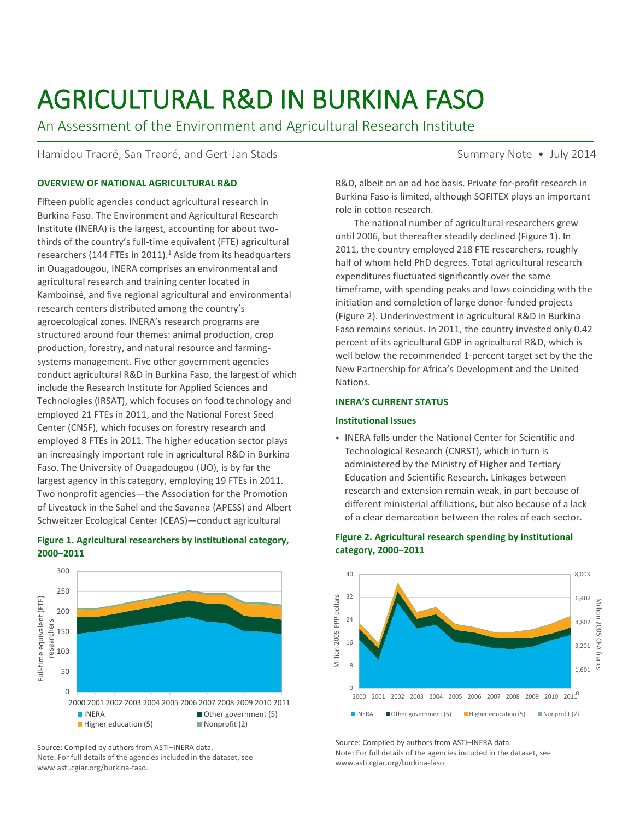# AGRICULTURAL R&D IN BURKINA FASO

An Assessment of the Environment and Agricultural Research Institute

Hamidou Traoré, San Traoré, and Gert-Jan Stads Summary Note • July 2014

# **OVERVIEW OF NATIONAL AGRICULTURAL R&D**

Fifteen public agencies conduct agricultural research in Burkina Faso. The Environment and Agricultural Research Institute (INERA) is the largest, accounting for about twothirds of the country's full-time equivalent (FTE) agricultural researchers (144 FTEs in 2011). $<sup>1</sup>$  Aside from its headquarters</sup> in Ouagadougou, INERA comprises an environmental and agricultural research and training center located in Kamboinsé, and five regional agricultural and environmental research centers distributed among the country's agroecological zones. INERA's research programs are structured around four themes: animal production, crop production, forestry, and natural resource and farmingsystems management. Five other government agencies conduct agricultural R&D in Burkina Faso, the largest of which include the Research Institute for Applied Sciences and Technologies (IRSAT), which focuses on food technology and employed 21 FTEs in 2011, and the National Forest Seed Center (CNSF), which focuses on forestry research and employed 8 FTEs in 2011. The higher education sector plays an increasingly important role in agricultural R&D in Burkina Faso. The University of Ouagadougou (UO), is by far the largest agency in this category, employing 19 FTEs in 2011. Two nonprofit agencies—the Association for the Promotion of Livestock in the Sahel and the Savanna (APESS) and Albert Schweitzer Ecological Center (CEAS)—conduct agricultural

# **Figure 1. Agricultural researchers by institutional category, 2000–2011**



Source: Compiled by authors from ASTI–INERA data. Note: For full details of the agencies included in the dataset, see www.asti.cgiar.org/burkina-faso.

R&D, albeit on an ad hoc basis. Private for-profit research in Burkina Faso is limited, although SOFITEX plays an important role in cotton research.

The national number of agricultural researchers grew until 2006, but thereafter steadily declined (Figure 1). In 2011, the country employed 218 FTE researchers, roughly half of whom held PhD degrees. Total agricultural research expenditures fluctuated significantly over the same timeframe, with spending peaks and lows coinciding with the initiation and completion of large donor-funded projects (Figure 2). Underinvestment in agricultural R&D in Burkina Faso remains serious. In 2011, the country invested only 0.42 percent of its agricultural GDP in agricultural R&D, which is well below the recommended 1-percent target set by the the New Partnership for Africa's Development and the United Nations.

## **INERA'S CURRENT STATUS**

## **Institutional Issues**

• INERA falls under the National Center for Scientific and Technological Research (CNRST), which in turn is administered by the Ministry of Higher and Tertiary Education and Scientific Research. Linkages between research and extension remain weak, in part because of different ministerial affiliations, but also because of a lack of a clear demarcation between the roles of each sector.



# **Figure 2. Agricultural research spending by institutional category, 2000–2011**

Source: Compiled by authors from ASTI–INERA data. Note: For full details of the agencies included in the dataset, see www.asti.cgiar.org/burkina-faso.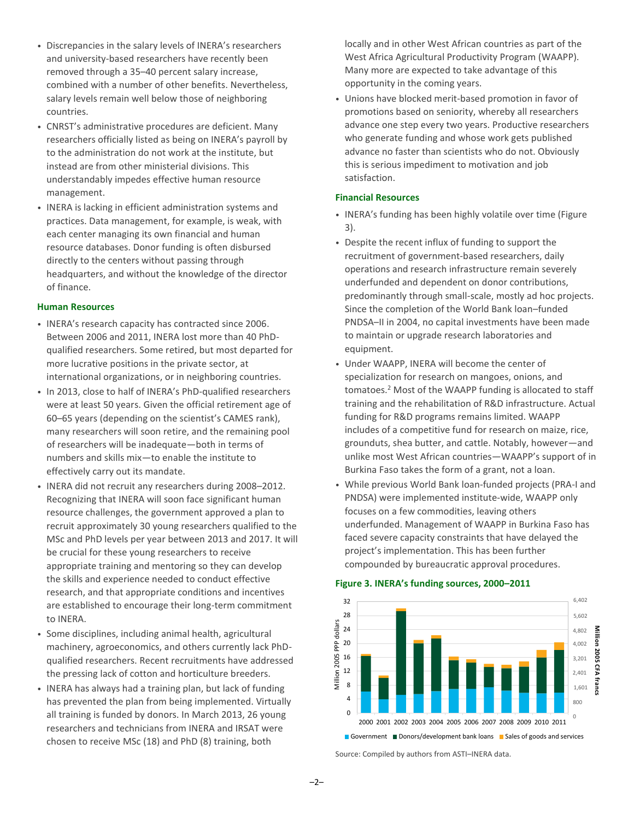- Discrepancies in the salary levels of INERA's researchers and university-based researchers have recently been removed through a 35–40 percent salary increase, combined with a number of other benefits. Nevertheless, salary levels remain well below those of neighboring countries.
- CNRST's administrative procedures are deficient. Many researchers officially listed as being on INERA's payroll by to the administration do not work at the institute, but instead are from other ministerial divisions. This understandably impedes effective human resource management.
- INERA is lacking in efficient administration systems and practices. Data management, for example, is weak, with each center managing its own financial and human resource databases. Donor funding is often disbursed directly to the centers without passing through headquarters, and without the knowledge of the director of finance.

#### **Human Resources**

- INERA's research capacity has contracted since 2006. Between 2006 and 2011, INERA lost more than 40 PhDqualified researchers. Some retired, but most departed for more lucrative positions in the private sector, at international organizations, or in neighboring countries.
- In 2013, close to half of INERA's PhD-qualified researchers were at least 50 years. Given the official retirement age of 60–65 years (depending on the scientist's CAMES rank), many researchers will soon retire, and the remaining pool of researchers will be inadequate—both in terms of numbers and skills mix—to enable the institute to effectively carry out its mandate.
- INERA did not recruit any researchers during 2008–2012. Recognizing that INERA will soon face significant human resource challenges, the government approved a plan to recruit approximately 30 young researchers qualified to the MSc and PhD levels per year between 2013 and 2017. It will be crucial for these young researchers to receive appropriate training and mentoring so they can develop the skills and experience needed to conduct effective research, and that appropriate conditions and incentives are established to encourage their long-term commitment to INERA.
- Some disciplines, including animal health, agricultural machinery, agroeconomics, and others currently lack PhDqualified researchers. Recent recruitments have addressed the pressing lack of cotton and horticulture breeders.
- INERA has always had a training plan, but lack of funding has prevented the plan from being implemented. Virtually all training is funded by donors. In March 2013, 26 young researchers and technicians from INERA and IRSAT were chosen to receive MSc (18) and PhD (8) training, both

locally and in other West African countries as part of the West Africa Agricultural Productivity Program (WAAPP). Many more are expected to take advantage of this opportunity in the coming years.

• Unions have blocked merit-based promotion in favor of promotions based on seniority, whereby all researchers advance one step every two years. Productive researchers who generate funding and whose work gets published advance no faster than scientists who do not. Obviously this is serious impediment to motivation and job satisfaction.

# **Financial Resources**

- INERA's funding has been highly volatile over time (Figure 3).
- Despite the recent influx of funding to support the recruitment of government-based researchers, daily operations and research infrastructure remain severely underfunded and dependent on donor contributions, predominantly through small-scale, mostly ad hoc projects. Since the completion of the World Bank loan–funded PNDSA–II in 2004, no capital investments have been made to maintain or upgrade research laboratories and equipment.
- Under WAAPP, INERA will become the center of specialization for research on mangoes, onions, and tomatoes.<sup>2</sup> Most of the WAAPP funding is allocated to staff training and the rehabilitation of R&D infrastructure. Actual funding for R&D programs remains limited. WAAPP includes of a competitive fund for research on maize, rice, grounduts, shea butter, and cattle. Notably, however—and unlike most West African countries—WAAPP's support of in Burkina Faso takes the form of a grant, not a loan.
- While previous World Bank loan-funded projects (PRA-I and PNDSA) were implemented institute-wide, WAAPP only focuses on a few commodities, leaving others underfunded. Management of WAAPP in Burkina Faso has faced severe capacity constraints that have delayed the project's implementation. This has been further compounded by bureaucratic approval procedures.

# **Figure 3. INERA's funding sources, 2000–2011**



Source: Compiled by authors from ASTI–INERA data.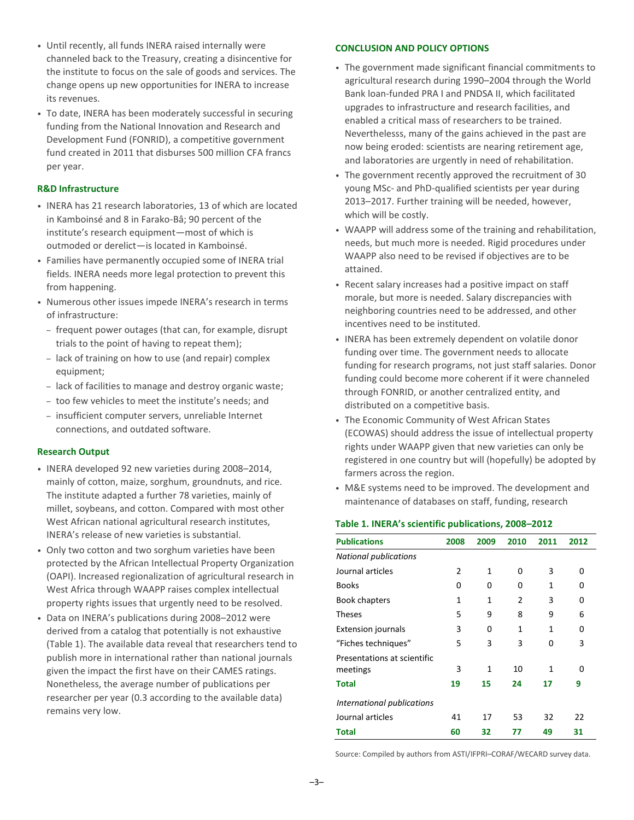- Until recently, all funds INERA raised internally were channeled back to the Treasury, creating a disincentive for the institute to focus on the sale of goods and services. The change opens up new opportunities for INERA to increase its revenues.
- To date, INERA has been moderately successful in securing funding from the National Innovation and Research and Development Fund (FONRID), a competitive government fund created in 2011 that disburses 500 million CFA francs per year.

#### **R&D Infrastructure**

- INERA has 21 research laboratories, 13 of which are located in Kamboinsé and 8 in Farako-Bâ; 90 percent of the institute's research equipment—most of which is outmoded or derelict—is located in Kamboinsé.
- Families have permanently occupied some of INERA trial fields. INERA needs more legal protection to prevent this from happening.
- Numerous other issues impede INERA's research in terms of infrastructure:
	- frequent power outages (that can, for example, disrupt trials to the point of having to repeat them);
	- lack of training on how to use (and repair) complex equipment;
	- lack of facilities to manage and destroy organic waste;
	- too few vehicles to meet the institute's needs; and
	- insufficient computer servers, unreliable Internet connections, and outdated software.

## **Research Output**

- INERA developed 92 new varieties during 2008–2014, mainly of cotton, maize, sorghum, groundnuts, and rice. The institute adapted a further 78 varieties, mainly of millet, soybeans, and cotton. Compared with most other West African national agricultural research institutes, INERA's release of new varieties is substantial.
- Only two cotton and two sorghum varieties have been protected by the African Intellectual Property Organization (OAPI). Increased regionalization of agricultural research in West Africa through WAAPP raises complex intellectual property rights issues that urgently need to be resolved.
- Data on INERA's publications during 2008–2012 were derived from a catalog that potentially is not exhaustive (Table 1). The available data reveal that researchers tend to publish more in international rather than national journals given the impact the first have on their CAMES ratings. Nonetheless, the average number of publications per researcher per year (0.3 according to the available data) remains very low.

#### **CONCLUSION AND POLICY OPTIONS**

- The government made significant financial commitments to agricultural research during 1990–2004 through the World Bank loan-funded PRA I and PNDSA II, which facilitated upgrades to infrastructure and research facilities, and enabled a critical mass of researchers to be trained. Neverthelesss, many of the gains achieved in the past are now being eroded: scientists are nearing retirement age, and laboratories are urgently in need of rehabilitation.
- The government recently approved the recruitment of 30 young MSc- and PhD-qualified scientists per year during 2013–2017. Further training will be needed, however, which will be costly.
- WAAPP will address some of the training and rehabilitation, needs, but much more is needed. Rigid procedures under WAAPP also need to be revised if objectives are to be attained.
- Recent salary increases had a positive impact on staff morale, but more is needed. Salary discrepancies with neighboring countries need to be addressed, and other incentives need to be instituted.
- INERA has been extremely dependent on volatile donor funding over time. The government needs to allocate funding for research programs, not just staff salaries. Donor funding could become more coherent if it were channeled through FONRID, or another centralized entity, and distributed on a competitive basis.
- The Economic Community of West African States (ECOWAS) should address the issue of intellectual property rights under WAAPP given that new varieties can only be registered in one country but will (hopefully) be adopted by farmers across the region.
- M&E systems need to be improved. The development and maintenance of databases on staff, funding, research

#### **Table 1. INERA's scientific publications, 2008–2012**

| <b>Publications</b>                     | 2008 | 2009 | 2010           | 2011 | 2012 |
|-----------------------------------------|------|------|----------------|------|------|
| <b>National publications</b>            |      |      |                |      |      |
| Journal articles                        | 2    | 1    | 0              | 3    | 0    |
| <b>Books</b>                            | 0    | 0    | O              | 1    | 0    |
| Book chapters                           | 1    | 1    | $\overline{2}$ | 3    | 0    |
| <b>Theses</b>                           | 5    | 9    | 8              | 9    | 6    |
| <b>Extension journals</b>               | 3    | 0    | 1              | 1    | 0    |
| "Fiches techniques"                     | 5    | 3    | 3              | 0    | 3    |
| Presentations at scientific<br>meetings | 3    | 1    | 10             | 1    | 0    |
| <b>Total</b>                            | 19   | 15   | 24             | 17   | 9    |
| International publications              |      |      |                |      |      |
| Journal articles                        | 41   | 17   | 53             | 32   | 22   |
| Total                                   | 60   | 32   | 77             | 49   | 31   |

Source: Compiled by authors from ASTI/IFPRI–CORAF/WECARD survey data.